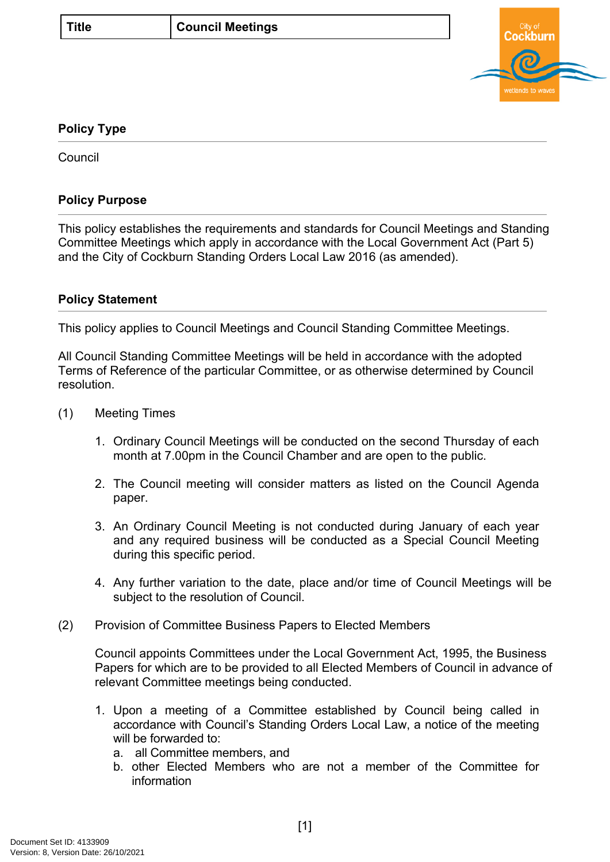

## **Policy Type**

**Council** 

## **Policy Purpose**

This policy establishes the requirements and standards for Council Meetings and Standing Committee Meetings which apply in accordance with the Local Government Act (Part 5) and the City of Cockburn Standing Orders Local Law 2016 (as amended).

## **[Policy Statement](#page-0-0)**

<span id="page-0-0"></span>This policy applies to Council Meetings and Council Standing Committee Meetings.

All Council Standing Committee Meetings will be held in accordance with the adopted Terms of Reference of the particular Committee, or as otherwise determined by Council resolution.

- (1) Meeting Times
	- 1. Ordinary Council Meetings will be conducted on the second Thursday of each month at 7.00pm in the Council Chamber and are open to the public.
	- 2. The Council meeting will consider matters as listed on the Council Agenda paper.
	- 3. An Ordinary Council Meeting is not conducted during January of each year and any required business will be conducted as a Special Council Meeting during this specific period.
	- 4. Any further variation to the date, place and/or time of Council Meetings will be subject to the resolution of Council.
- (2) Provision of Committee Business Papers to Elected Members

Council appoints Committees under the Local Government Act, 1995, the Business Papers for which are to be provided to all Elected Members of Council in advance of relevant Committee meetings being conducted.

- 1. Upon a meeting of a Committee established by Council being called in accordance with Council's Standing Orders Local Law, a notice of the meeting will be forwarded to:
	- a. all Committee members, and
	- b. other Elected Members who are not a member of the Committee for information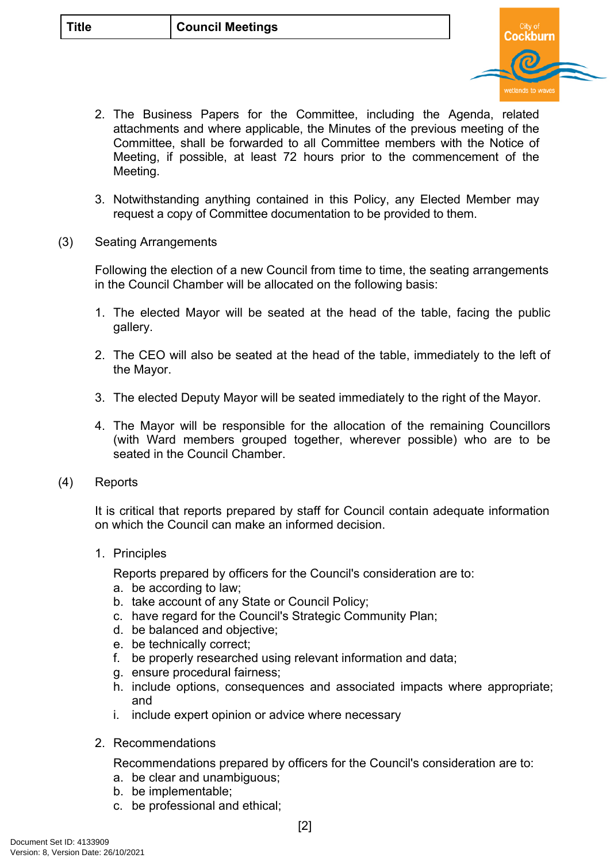

- 2. The Business Papers for the Committee, including the Agenda, related attachments and where applicable, the Minutes of the previous meeting of the Committee, shall be forwarded to all Committee members with the Notice of Meeting, if possible, at least 72 hours prior to the commencement of the Meeting.
- 3. Notwithstanding anything contained in this Policy, any Elected Member may request a copy of Committee documentation to be provided to them.
- (3) Seating Arrangements

Following the election of a new Council from time to time, the seating arrangements in the Council Chamber will be allocated on the following basis:

- 1. The elected Mayor will be seated at the head of the table, facing the public gallery.
- 2. The CEO will also be seated at the head of the table, immediately to the left of the Mayor.
- 3. The elected Deputy Mayor will be seated immediately to the right of the Mayor.
- 4. The Mayor will be responsible for the allocation of the remaining Councillors (with Ward members grouped together, wherever possible) who are to be seated in the Council Chamber.
- (4) Reports

It is critical that reports prepared by staff for Council contain adequate information on which the Council can make an informed decision.

1. Principles

Reports prepared by officers for the Council's consideration are to:

- a. be according to law;
- b. take account of any State or Council Policy;
- c. have regard for the Council's Strategic Community Plan;
- d. be balanced and objective;
- e. be technically correct;
- f. be properly researched using relevant information and data;
- g. ensure procedural fairness;
- h. include options, consequences and associated impacts where appropriate; and
- i. include expert opinion or advice where necessary
- 2. Recommendations

Recommendations prepared by officers for the Council's consideration are to:

- a. be clear and unambiguous;
- b. be implementable;
- c. be professional and ethical;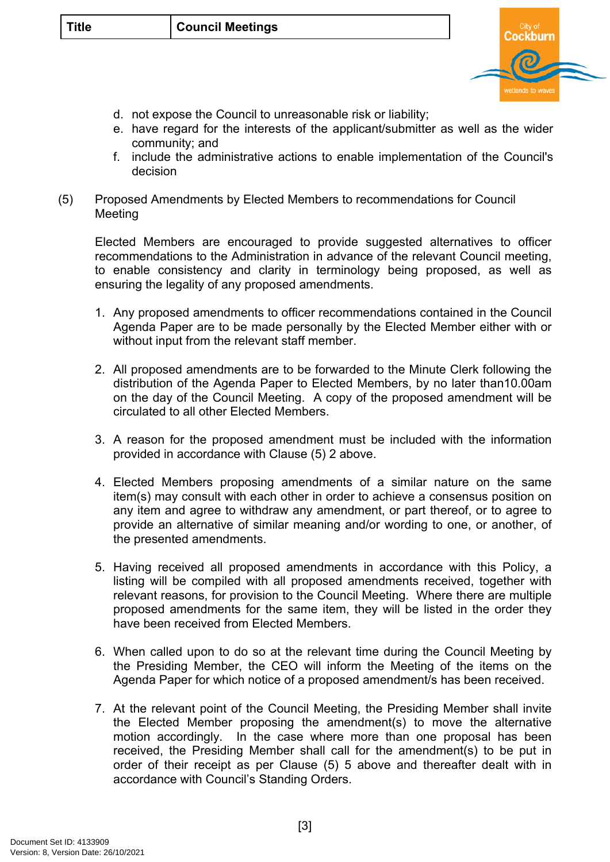

- d. not expose the Council to unreasonable risk or liability;
- e. have regard for the interests of the applicant/submitter as well as the wider community; and
- f. include the administrative actions to enable implementation of the Council's decision
- (5) Proposed Amendments by Elected Members to recommendations for Council Meeting

Elected Members are encouraged to provide suggested alternatives to officer recommendations to the Administration in advance of the relevant Council meeting, to enable consistency and clarity in terminology being proposed, as well as ensuring the legality of any proposed amendments.

- 1. Any proposed amendments to officer recommendations contained in the Council Agenda Paper are to be made personally by the Elected Member either with or without input from the relevant staff member.
- 2. All proposed amendments are to be forwarded to the Minute Clerk following the distribution of the Agenda Paper to Elected Members, by no later than10.00am on the day of the Council Meeting. A copy of the proposed amendment will be circulated to all other Elected Members.
- 3. A reason for the proposed amendment must be included with the information provided in accordance with Clause (5) 2 above.
- 4. Elected Members proposing amendments of a similar nature on the same item(s) may consult with each other in order to achieve a consensus position on any item and agree to withdraw any amendment, or part thereof, or to agree to provide an alternative of similar meaning and/or wording to one, or another, of the presented amendments.
- 5. Having received all proposed amendments in accordance with this Policy, a listing will be compiled with all proposed amendments received, together with relevant reasons, for provision to the Council Meeting. Where there are multiple proposed amendments for the same item, they will be listed in the order they have been received from Elected Members.
- 6. When called upon to do so at the relevant time during the Council Meeting by the Presiding Member, the CEO will inform the Meeting of the items on the Agenda Paper for which notice of a proposed amendment/s has been received.
- 7. At the relevant point of the Council Meeting, the Presiding Member shall invite the Elected Member proposing the amendment(s) to move the alternative motion accordingly. In the case where more than one proposal has been received, the Presiding Member shall call for the amendment(s) to be put in order of their receipt as per Clause (5) 5 above and thereafter dealt with in accordance with Council's Standing Orders.